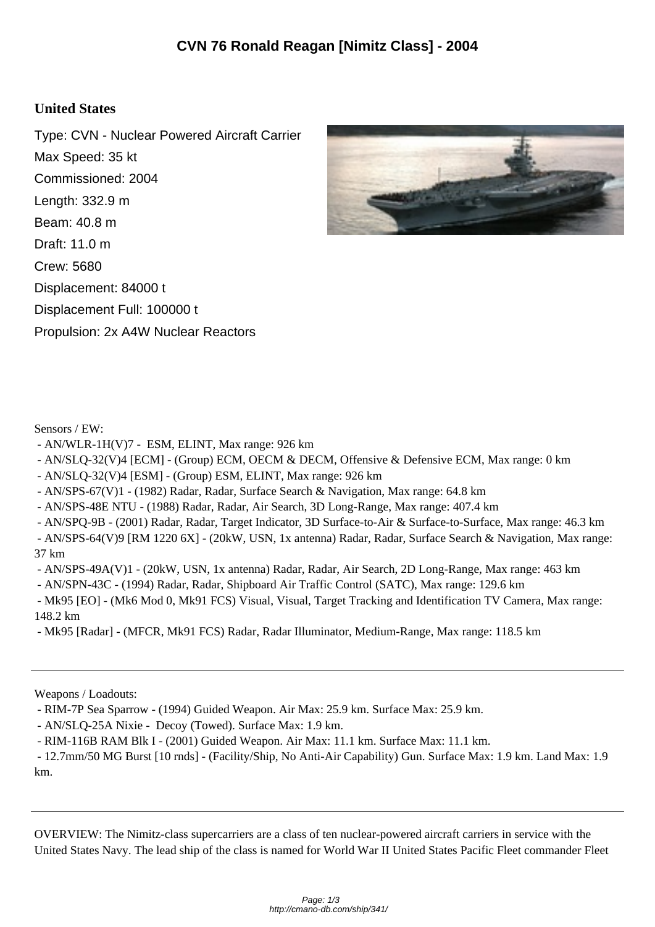## **United States**

Type: CVN - Nuclear Powered Aircraft Carrier Max Speed: 35 kt Commissioned: 2004 Length: 332.9 m Beam: 40.8 m Draft: 11.0 m Crew: 5680 Displacement: 84000 t Displacement Full: 100000 t Propulsion: 2x A4W Nuclear Reactors



Sensors / EW:

- AN/WLR-1H(V)7 ESM, ELINT, Max range: 926 km
- AN/SLQ-32(V)4 [ECM] (Group) ECM, OECM & DECM, Offensive & Defensive ECM, Max range: 0 km
- AN/SLQ-32(V)4 [ESM] (Group) ESM, ELINT, Max range: 926 km
- AN/SPS-67(V)1 (1982) Radar, Radar, Surface Search & Navigation, Max range: 64.8 km
- AN/SPS-48E NTU (1988) Radar, Radar, Air Search, 3D Long-Range, Max range: 407.4 km
- AN/SPQ-9B (2001) Radar, Radar, Target Indicator, 3D Surface-to-Air & Surface-to-Surface, Max range: 46.3 km
- AN/SPS-64(V)9 [RM 1220 6X] (20kW, USN, 1x antenna) Radar, Radar, Surface Search & Navigation, Max range: 37 km
- AN/SPS-49A(V)1 (20kW, USN, 1x antenna) Radar, Radar, Air Search, 2D Long-Range, Max range: 463 km
- AN/SPN-43C (1994) Radar, Radar, Shipboard Air Traffic Control (SATC), Max range: 129.6 km
- Mk95 [EO] (Mk6 Mod 0, Mk91 FCS) Visual, Visual, Target Tracking and Identification TV Camera, Max range: 148.2 km
- Mk95 [Radar] (MFCR, Mk91 FCS) Radar, Radar Illuminator, Medium-Range, Max range: 118.5 km

Weapons / Loadouts:

- RIM-7P Sea Sparrow (1994) Guided Weapon. Air Max: 25.9 km. Surface Max: 25.9 km.
- AN/SLQ-25A Nixie Decoy (Towed). Surface Max: 1.9 km.
- RIM-116B RAM Blk I (2001) Guided Weapon. Air Max: 11.1 km. Surface Max: 11.1 km.
- 12.7mm/50 MG Burst [10 rnds] (Facility/Ship, No Anti-Air Capability) Gun. Surface Max: 1.9 km. Land Max: 1.9 km.

OVERVIEW: The Nimitz-class supercarriers are a class of ten nuclear-powered aircraft carriers in service with the United States Navy. The lead ship of the class is named for World War II United States Pacific Fleet commander Fleet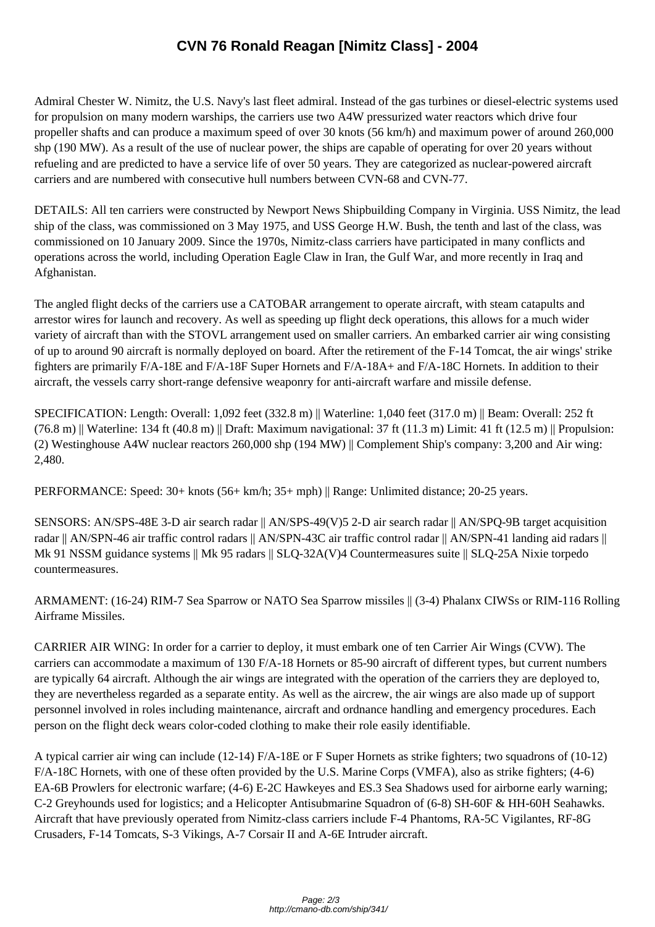Admiral Chester W. Nimitz, [the U.S. Navy's last fleet admiral. Instead of the gas turbines or](http://cmano-db.com/ship/341/) diesel-electric systems used for propulsion on many modern warships, the carriers use two A4W pressurized water reactors which drive four propeller shafts and can produce a maximum speed of over 30 knots (56 km/h) and maximum power of around 260,000 shp (190 MW). As a result of the use of nuclear power, the ships are capable of operating for over 20 years without refueling and are predicted to have a service life of over 50 years. They are categorized as nuclear-powered aircraft carriers and are numbered with consecutive hull numbers between CVN-68 and CVN-77.

DETAILS: All ten carriers were constructed by Newport News Shipbuilding Company in Virginia. USS Nimitz, the lead ship of the class, was commissioned on 3 May 1975, and USS George H.W. Bush, the tenth and last of the class, was commissioned on 10 January 2009. Since the 1970s, Nimitz-class carriers have participated in many conflicts and operations across the world, including Operation Eagle Claw in Iran, the Gulf War, and more recently in Iraq and Afghanistan.

The angled flight decks of the carriers use a CATOBAR arrangement to operate aircraft, with steam catapults and arrestor wires for launch and recovery. As well as speeding up flight deck operations, this allows for a much wider variety of aircraft than with the STOVL arrangement used on smaller carriers. An embarked carrier air wing consisting of up to around 90 aircraft is normally deployed on board. After the retirement of the F-14 Tomcat, the air wings' strike fighters are primarily F/A-18E and F/A-18F Super Hornets and F/A-18A+ and F/A-18C Hornets. In addition to their aircraft, the vessels carry short-range defensive weaponry for anti-aircraft warfare and missile defense.

SPECIFICATION: Length: Overall: 1,092 feet (332.8 m) || Waterline: 1,040 feet (317.0 m) || Beam: Overall: 252 ft  $(76.8 \text{ m})$  Waterline: 134 ft (40.8 m) || Draft: Maximum navigational: 37 ft (11.3 m) Limit: 41 ft (12.5 m) || Propulsion: (2) Westinghouse A4W nuclear reactors 260,000 shp (194 MW) || Complement Ship's company: 3,200 and Air wing: 2,480.

PERFORMANCE: Speed: 30+ knots (56+ km/h; 35+ mph) || Range: Unlimited distance; 20-25 years.

SENSORS: AN/SPS-48E 3-D air search radar || AN/SPS-49(V)5 2-D air search radar || AN/SPQ-9B target acquisition radar || AN/SPN-46 air traffic control radars || AN/SPN-43C air traffic control radar || AN/SPN-41 landing aid radars || Mk 91 NSSM guidance systems || Mk 95 radars || SLQ-32A(V)4 Countermeasures suite || SLQ-25A Nixie torpedo countermeasures.

ARMAMENT: (16-24) RIM-7 Sea Sparrow or NATO Sea Sparrow missiles || (3-4) Phalanx CIWSs or RIM-116 Rolling Airframe Missiles.

CARRIER AIR WING: In order for a carrier to deploy, it must embark one of ten Carrier Air Wings (CVW). The carriers can accommodate a maximum of 130 F/A-18 Hornets or 85-90 aircraft of different types, but current numbers are typically 64 aircraft. Although the air wings are integrated with the operation of the carriers they are deployed to, they are nevertheless regarded as a separate entity. As well as the aircrew, the air wings are also made up of support personnel involved in roles including maintenance, aircraft and ordnance handling and emergency procedures. Each person on the flight deck wears color-coded clothing to make their role easily identifiable.

A typical carrier air wing can include (12-14) F/A-18E or F Super Hornets as strike fighters; two squadrons of (10-12) F/A-18C Hornets, with one of these often provided by the U.S. Marine Corps (VMFA), also as strike fighters; (4-6) EA-6B Prowlers for electronic warfare; (4-6) E-2C Hawkeyes and ES.3 Sea Shadows used for airborne early warning; C-2 Greyhounds used for logistics; and a Helicopter Antisubmarine Squadron of (6-8) SH-60F & HH-60H Seahawks. Aircraft that have previously operated from Nimitz-class carriers include F-4 Phantoms, RA-5C Vigilantes, RF-8G Crusaders, F-14 Tomcats, S-3 Vikings, A-7 Corsair II and A-6E Intruder aircraft.